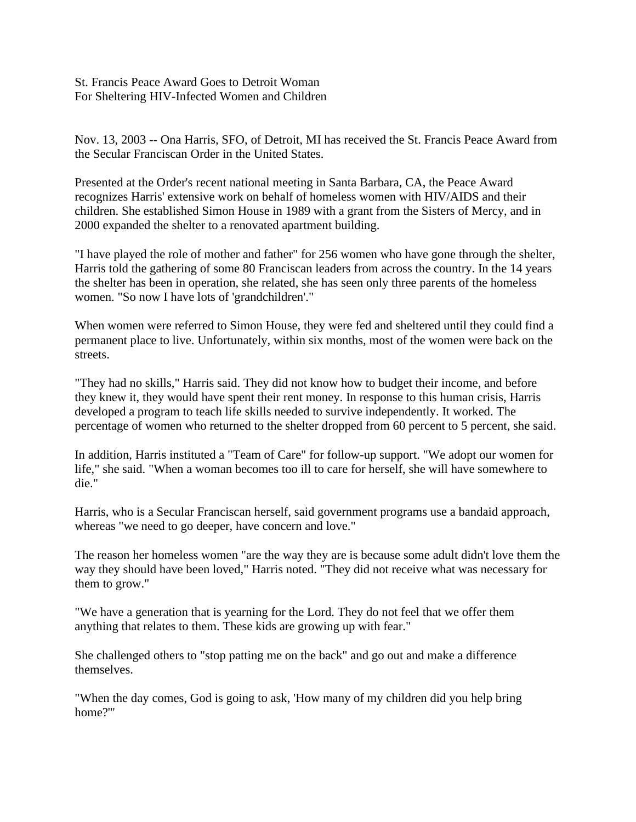St. Francis Peace Award Goes to Detroit Woman For Sheltering HIV-Infected Women and Children

Nov. 13, 2003 -- Ona Harris, SFO, of Detroit, MI has received the St. Francis Peace Award from the Secular Franciscan Order in the United States.

Presented at the Order's recent national meeting in Santa Barbara, CA, the Peace Award recognizes Harris' extensive work on behalf of homeless women with HIV/AIDS and their children. She established Simon House in 1989 with a grant from the Sisters of Mercy, and in 2000 expanded the shelter to a renovated apartment building.

"I have played the role of mother and father" for 256 women who have gone through the shelter, Harris told the gathering of some 80 Franciscan leaders from across the country. In the 14 years the shelter has been in operation, she related, she has seen only three parents of the homeless women. "So now I have lots of 'grandchildren'."

When women were referred to Simon House, they were fed and sheltered until they could find a permanent place to live. Unfortunately, within six months, most of the women were back on the streets.

"They had no skills," Harris said. They did not know how to budget their income, and before they knew it, they would have spent their rent money. In response to this human crisis, Harris developed a program to teach life skills needed to survive independently. It worked. The percentage of women who returned to the shelter dropped from 60 percent to 5 percent, she said.

In addition, Harris instituted a "Team of Care" for follow-up support. "We adopt our women for life," she said. "When a woman becomes too ill to care for herself, she will have somewhere to die."

Harris, who is a Secular Franciscan herself, said government programs use a bandaid approach, whereas "we need to go deeper, have concern and love."

The reason her homeless women "are the way they are is because some adult didn't love them the way they should have been loved," Harris noted. "They did not receive what was necessary for them to grow."

"We have a generation that is yearning for the Lord. They do not feel that we offer them anything that relates to them. These kids are growing up with fear."

She challenged others to "stop patting me on the back" and go out and make a difference themselves.

"When the day comes, God is going to ask, 'How many of my children did you help bring home?'"